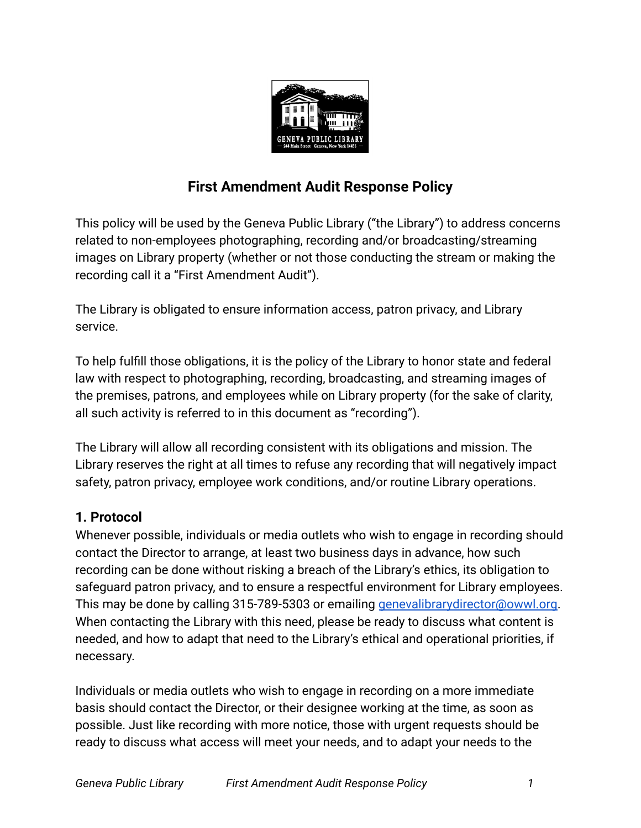

# **First Amendment Audit Response Policy**

This policy will be used by the Geneva Public Library ("the Library") to address concerns related to non-employees photographing, recording and/or broadcasting/streaming images on Library property (whether or not those conducting the stream or making the recording call it a "First Amendment Audit").

The Library is obligated to ensure information access, patron privacy, and Library service.

To help fulfill those obligations, it is the policy of the Library to honor state and federal law with respect to photographing, recording, broadcasting, and streaming images of the premises, patrons, and employees while on Library property (for the sake of clarity, all such activity is referred to in this document as "recording").

The Library will allow all recording consistent with its obligations and mission. The Library reserves the right at all times to refuse any recording that will negatively impact safety, patron privacy, employee work conditions, and/or routine Library operations.

#### **1. Protocol**

Whenever possible, individuals or media outlets who wish to engage in recording should contact the Director to arrange, at least two business days in advance, how such recording can be done without risking a breach of the Library's ethics, its obligation to safeguard patron privacy, and to ensure a respectful environment for Library employees. This may be done by calling 315-789-5303 or emailing [genevalibrarydirector@owwl.org.](mailto:genevalibrarydirector@owwl.org) When contacting the Library with this need, please be ready to discuss what content is needed, and how to adapt that need to the Library's ethical and operational priorities, if necessary.

Individuals or media outlets who wish to engage in recording on a more immediate basis should contact the Director, or their designee working at the time, as soon as possible. Just like recording with more notice, those with urgent requests should be ready to discuss what access will meet your needs, and to adapt your needs to the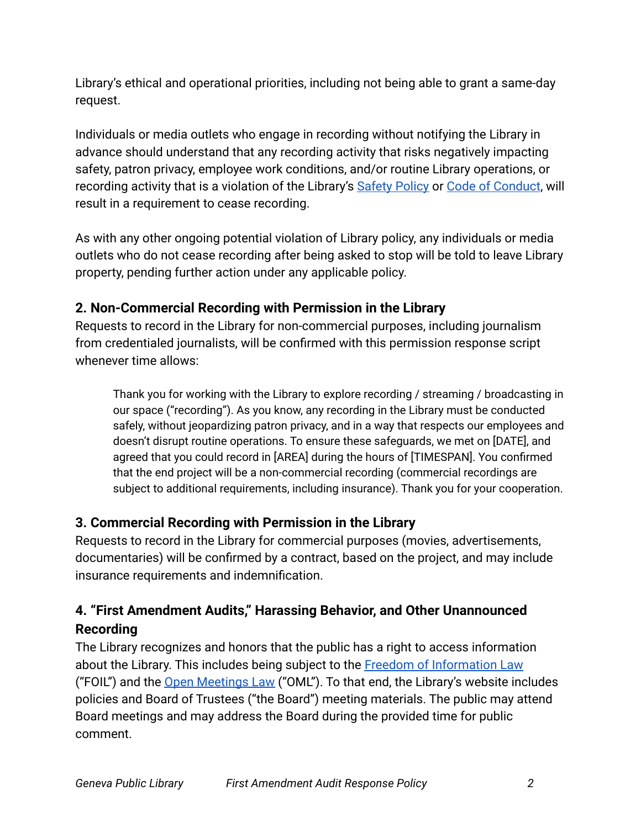Library's ethical and operational priorities, including not being able to grant a same-day request.

Individuals or media outlets who engage in recording without notifying the Library in advance should understand that any recording activity that risks negatively impacting safety, patron privacy, employee work conditions, and/or routine Library operations, or recording activity that is a violation of the Library's [Safety Policy](https://www.genevapubliclibrary.net/uploads/4/9/7/8/49788875/safety_policy.pdf) or [Code of Conduct](https://www.genevapubliclibrary.net/uploads/4/9/7/8/49788875/code_of_conduct.pdf), will result in a requirement to cease recording.

As with any other ongoing potential violation of Library policy, any individuals or media outlets who do not cease recording after being asked to stop will be told to leave Library property, pending further action under any applicable policy.

## **2. Non-Commercial Recording with Permission in the Library**

Requests to record in the Library for non-commercial purposes, including journalism from credentialed journalists, will be confirmed with this permission response script whenever time allows:

Thank you for working with the Library to explore recording / streaming / broadcasting in our space ("recording"). As you know, any recording in the Library must be conducted safely, without jeopardizing patron privacy, and in a way that respects our employees and doesn't disrupt routine operations. To ensure these safeguards, we met on [DATE], and agreed that you could record in [AREA] during the hours of [TIMESPAN]. You confirmed that the end project will be a non-commercial recording (commercial recordings are subject to additional requirements, including insurance). Thank you for your cooperation.

## **3. Commercial Recording with Permission in the Library**

Requests to record in the Library for commercial purposes (movies, advertisements, documentaries) will be confirmed by a contract, based on the project, and may include insurance requirements and indemnification.

# **4. "First Amendment Audits," Harassing Behavior, and Other Unannounced Recording**

The Library recognizes and honors that the public has a right to access information about the Library. This includes being subject to the [Freedom of Information Law](https://www.osc.state.ny.us/help/foil) ("FOIL") and the [Open Meetings Law](https://opengovernment.ny.gov/open-meetings-law) ("OML"). To that end, the Library's website includes policies and Board of Trustees ("the Board") meeting materials. The public may attend Board meetings and may address the Board during the provided time for public comment.